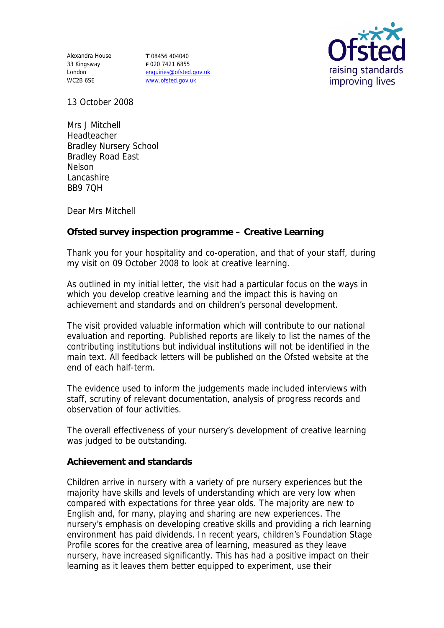Alexandra House 33 Kingsway London WC2B 6SE

**T** 08456 404040 **F** 020 7421 6855 enquiries@ofsted.gov.uk www.ofsted.gov.uk



13 October 2008

Mrs J Mitchell Headteacher Bradley Nursery School Bradley Road East Nelson Lancashire BB9 7QH

Dear Mrs Mitchell

**Ofsted survey inspection programme – Creative Learning**

Thank you for your hospitality and co-operation, and that of your staff, during my visit on 09 October 2008 to look at creative learning.

As outlined in my initial letter, the visit had a particular focus on the ways in which you develop creative learning and the impact this is having on achievement and standards and on children's personal development.

The visit provided valuable information which will contribute to our national evaluation and reporting. Published reports are likely to list the names of the contributing institutions but individual institutions will not be identified in the main text. All feedback letters will be published on the Ofsted website at the end of each half-term.

The evidence used to inform the judgements made included interviews with staff, scrutiny of relevant documentation, analysis of progress records and observation of four activities.

The overall effectiveness of your nursery's development of creative learning was judged to be outstanding.

**Achievement and standards**

Children arrive in nursery with a variety of pre nursery experiences but the majority have skills and levels of understanding which are very low when compared with expectations for three year olds. The majority are new to English and, for many, playing and sharing are new experiences. The nursery's emphasis on developing creative skills and providing a rich learning environment has paid dividends. In recent years, children's Foundation Stage Profile scores for the creative area of learning, measured as they leave nursery, have increased significantly. This has had a positive impact on their learning as it leaves them better equipped to experiment, use their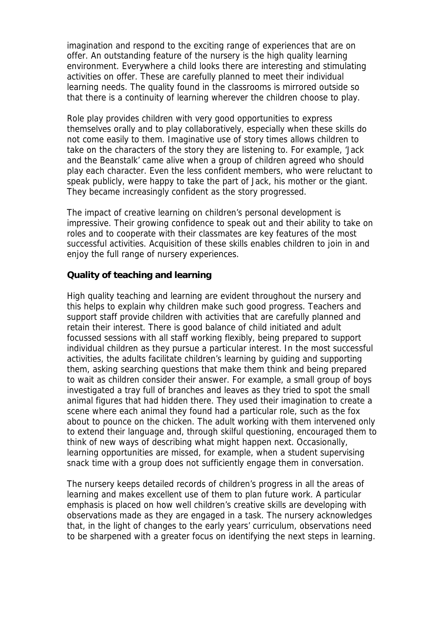imagination and respond to the exciting range of experiences that are on offer. An outstanding feature of the nursery is the high quality learning environment. Everywhere a child looks there are interesting and stimulating activities on offer. These are carefully planned to meet their individual learning needs. The quality found in the classrooms is mirrored outside so that there is a continuity of learning wherever the children choose to play.

Role play provides children with very good opportunities to express themselves orally and to play collaboratively, especially when these skills do not come easily to them. Imaginative use of story times allows children to take on the characters of the story they are listening to. For example, 'Jack and the Beanstalk' came alive when a group of children agreed who should play each character. Even the less confident members, who were reluctant to speak publicly, were happy to take the part of Jack, his mother or the giant. They became increasingly confident as the story progressed.

The impact of creative learning on children's personal development is impressive. Their growing confidence to speak out and their ability to take on roles and to cooperate with their classmates are key features of the most successful activities. Acquisition of these skills enables children to join in and enjoy the full range of nursery experiences.

## **Quality of teaching and learning**

High quality teaching and learning are evident throughout the nursery and this helps to explain why children make such good progress. Teachers and support staff provide children with activities that are carefully planned and retain their interest. There is good balance of child initiated and adult focussed sessions with all staff working flexibly, being prepared to support individual children as they pursue a particular interest. In the most successful activities, the adults facilitate children's learning by guiding and supporting them, asking searching questions that make them think and being prepared to wait as children consider their answer. For example, a small group of boys investigated a tray full of branches and leaves as they tried to spot the small animal figures that had hidden there. They used their imagination to create a scene where each animal they found had a particular role, such as the fox about to pounce on the chicken. The adult working with them intervened only to extend their language and, through skilful questioning, encouraged them to think of new ways of describing what might happen next. Occasionally, learning opportunities are missed, for example, when a student supervising snack time with a group does not sufficiently engage them in conversation.

The nursery keeps detailed records of children's progress in all the areas of learning and makes excellent use of them to plan future work. A particular emphasis is placed on how well children's creative skills are developing with observations made as they are engaged in a task. The nursery acknowledges that, in the light of changes to the early years' curriculum, observations need to be sharpened with a greater focus on identifying the next steps in learning.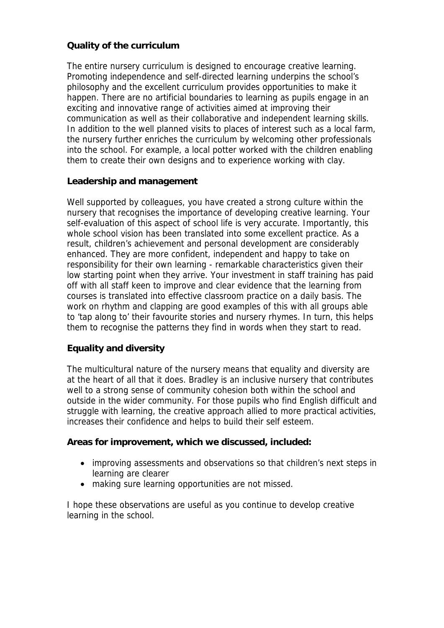## **Quality of the curriculum**

The entire nursery curriculum is designed to encourage creative learning. Promoting independence and self-directed learning underpins the school's philosophy and the excellent curriculum provides opportunities to make it happen. There are no artificial boundaries to learning as pupils engage in an exciting and innovative range of activities aimed at improving their communication as well as their collaborative and independent learning skills. In addition to the well planned visits to places of interest such as a local farm, the nursery further enriches the curriculum by welcoming other professionals into the school. For example, a local potter worked with the children enabling them to create their own designs and to experience working with clay.

## **Leadership and management**

Well supported by colleagues, you have created a strong culture within the nursery that recognises the importance of developing creative learning. Your self-evaluation of this aspect of school life is very accurate. Importantly, this whole school vision has been translated into some excellent practice. As a result, children's achievement and personal development are considerably enhanced. They are more confident, independent and happy to take on responsibility for their own learning - remarkable characteristics given their low starting point when they arrive. Your investment in staff training has paid off with all staff keen to improve and clear evidence that the learning from courses is translated into effective classroom practice on a daily basis. The work on rhythm and clapping are good examples of this with all groups able to 'tap along to' their favourite stories and nursery rhymes. In turn, this helps them to recognise the patterns they find in words when they start to read.

## **Equality and diversity**

The multicultural nature of the nursery means that equality and diversity are at the heart of all that it does. Bradley is an inclusive nursery that contributes well to a strong sense of community cohesion both within the school and outside in the wider community. For those pupils who find English difficult and struggle with learning, the creative approach allied to more practical activities, increases their confidence and helps to build their self esteem.

**Areas for improvement, which we discussed, included:**

- improving assessments and observations so that children's next steps in learning are clearer
- making sure learning opportunities are not missed.

I hope these observations are useful as you continue to develop creative learning in the school.